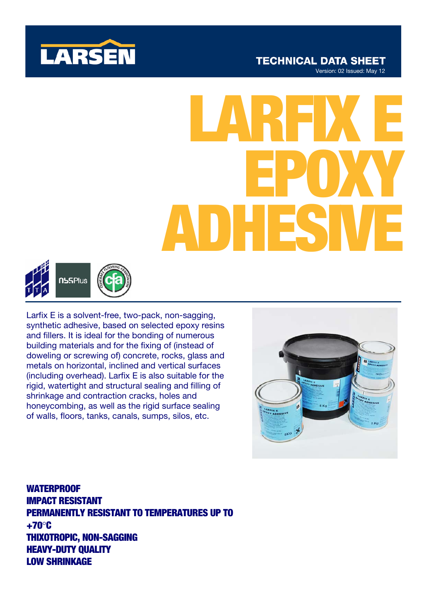

# LARFIX E EPOXY ADHESIVE



Larfix E is a solvent-free, two-pack, non-sagging, synthetic adhesive, based on selected epoxy resins and fillers. It is ideal for the bonding of numerous building materials and for the fixing of (instead of doweling or screwing of) concrete, rocks, glass and metals on horizontal, inclined and vertical surfaces (including overhead). Larfix E is also suitable for the rigid, watertight and structural sealing and filling of shrinkage and contraction cracks, holes and honeycombing, as well as the rigid surface sealing of walls, floors, tanks, canals, sumps, silos, etc.

WATERPROOF IMPACT RESISTANT PERMANENTLY RESISTANT TO TEMPERATURES UP TO +70°C THIXOTROPIC, NON-SAGGING HEAVY-DUTY QUALITY LOW SHRINKAGE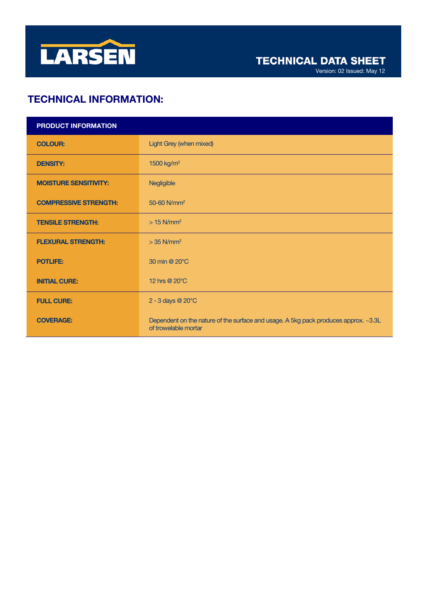

Version: 02 Issued: May 12

# TECHNICAL INFORMATION:

| PRODUCT INFORMATION          |                                                                                                             |
|------------------------------|-------------------------------------------------------------------------------------------------------------|
| <b>COLOUR:</b>               | Light Grey (when mixed)                                                                                     |
| <b>DENSITY:</b>              | 1500 kg/m <sup>3</sup>                                                                                      |
| <b>MOISTURE SENSITIVITY:</b> | Negligible                                                                                                  |
| <b>COMPRESSIVE STRENGTH:</b> | 50-60 N/mm <sup>2</sup>                                                                                     |
| <b>TENSILE STRENGTH:</b>     | $>15$ N/mm <sup>2</sup>                                                                                     |
| <b>FLEXURAL STRENGTH:</b>    | $>$ 35 N/mm <sup>2</sup>                                                                                    |
| <b>POTLIFE:</b>              | 30 min @ 20°C                                                                                               |
| <b>INITIAL CURE:</b>         | 12 hrs @ 20°C                                                                                               |
| <b>FULL CURE:</b>            | 2 - 3 days @ 20°C                                                                                           |
| <b>COVERAGE:</b>             | Dependent on the nature of the surface and usage. A 5kg pack produces approx. ~3.3L<br>of trowelable mortar |